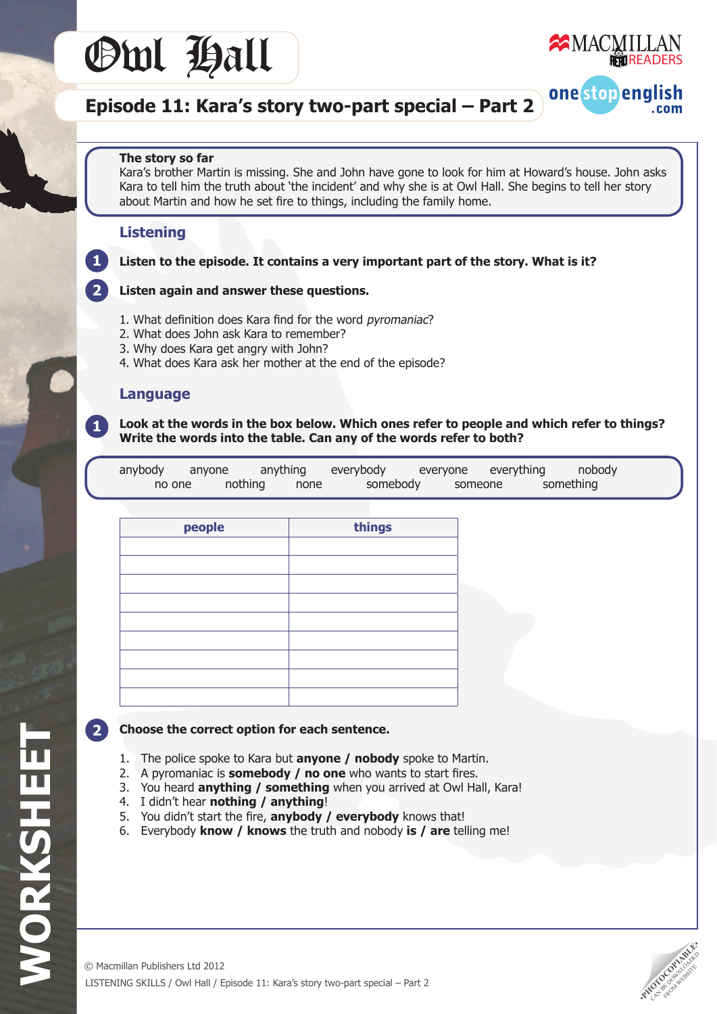



one stop english

.com

## **Episode 11: Kara's story two-part special – Part 2**

#### **The story so far**

 Kara's brother Martin is missing. She and John have gone to look for him at Howard's house. John asks Kara to tell him the truth about 'the incident' and why she is at Owl Hall. She begins to tell her story about Martin and how he set fire to things, including the family home.

#### **Listening**

**1**

**2**

**1**

**Listen to the episode. It contains a very important part of the story. What is it?**

#### **Listen again and answer these questions.**

- 1. What definition does Kara find for the word pyromaniac?
- 2. What does John ask Kara to remember?
- 3. Why does Kara get angry with John?
- 4. What does Kara ask her mother at the end of the episode?

#### **Language**

**Look at the words in the box below. Which ones refer to people and which refer to things? Write the words into the table. Can any of the words refer to both?**

| anybody | anyone  | anything | everybody | everyone everything | nobody    |
|---------|---------|----------|-----------|---------------------|-----------|
| no one  | nothing | none     | somebody  | someone             | something |

| people | things |
|--------|--------|
|        |        |
|        |        |
|        |        |
|        |        |
|        |        |
|        |        |
|        |        |
|        |        |
|        |        |

#### **2**

**WORKSHEET**

WORKSHEET

#### **Choose the correct option for each sentence.**

- 1. The police spoke to Kara but **anyone / nobody** spoke to Martin.
- 2. A pyromaniac is **somebody / no one** who wants to start fires.
- 3. You heard **anything / something** when you arrived at Owl Hall, Kara!
- 4. I didn't hear **nothing / anything**!
- 5. You didn't start the fire, **anybody / everybody** knows that!
- 6. Everybody **know / knows** the truth and nobody **is / are** telling me!

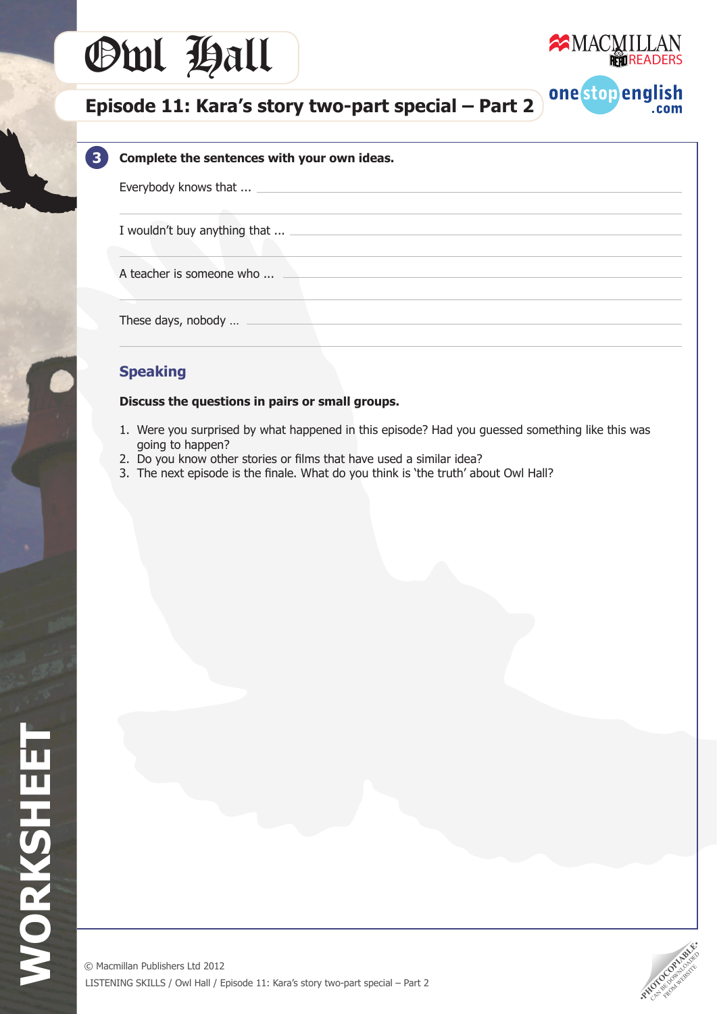# Owl Hall



one stop english

 $.com$ 

## **Episode 11: Kara's story two-part special – Part 2**

#### **Complete the sentences with your own ideas.**

Everybody knows that ...

**3**

I wouldn't buy anything that ...

A teacher is someone who ...

 These days, nobody …

### **Speaking**

#### **Discuss the questions in pairs or small groups.**

- 1. Were you surprised by what happened in this episode? Had you guessed something like this was going to happen?
- 2. Do you know other stories or films that have used a similar idea?
- 3. The next episode is the finale. What do you think is 'the truth' about Owl Hall?

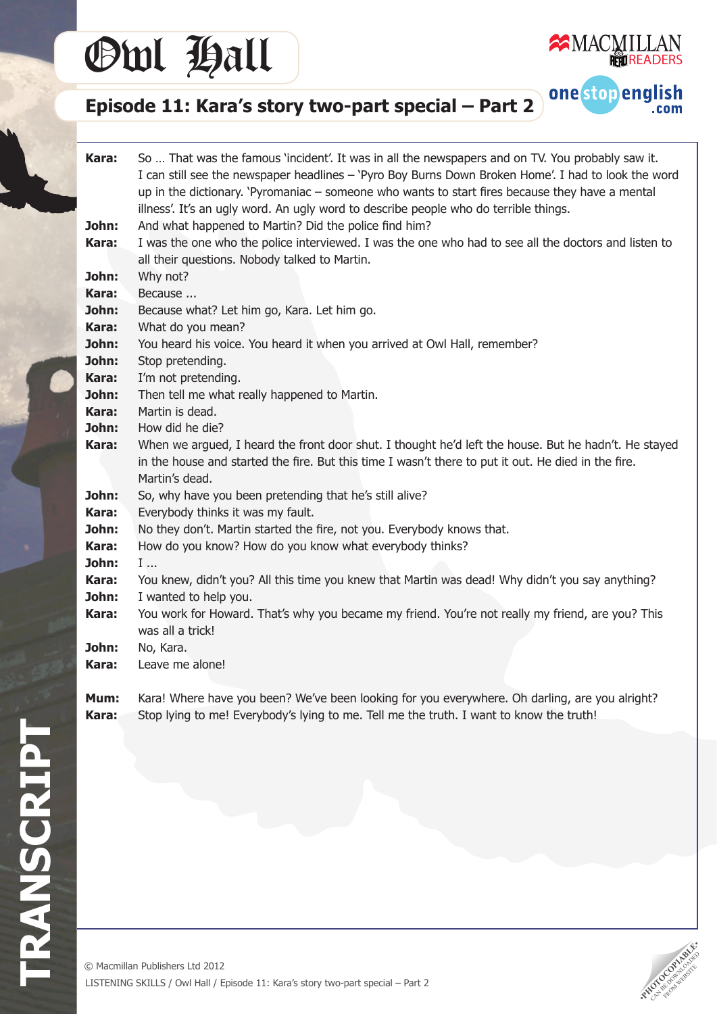# Owl Hall



one stop english

.com

# **Episode 11: Kara's story two-part special – Part 2**

| Kara:<br>John:<br>Kara: | So  That was the famous 'incident'. It was in all the newspapers and on TV. You probably saw it.<br>I can still see the newspaper headlines - `Pyro Boy Burns Down Broken Home'. I had to look the word<br>up in the dictionary. 'Pyromaniac - someone who wants to start fires because they have a mental<br>illness'. It's an ugly word. An ugly word to describe people who do terrible things.<br>And what happened to Martin? Did the police find him?<br>I was the one who the police interviewed. I was the one who had to see all the doctors and listen to<br>all their questions. Nobody talked to Martin. |  |  |  |  |  |
|-------------------------|----------------------------------------------------------------------------------------------------------------------------------------------------------------------------------------------------------------------------------------------------------------------------------------------------------------------------------------------------------------------------------------------------------------------------------------------------------------------------------------------------------------------------------------------------------------------------------------------------------------------|--|--|--|--|--|
| John:                   | Why not?                                                                                                                                                                                                                                                                                                                                                                                                                                                                                                                                                                                                             |  |  |  |  |  |
| Kara:                   | Because                                                                                                                                                                                                                                                                                                                                                                                                                                                                                                                                                                                                              |  |  |  |  |  |
| John:                   | Because what? Let him go, Kara. Let him go.                                                                                                                                                                                                                                                                                                                                                                                                                                                                                                                                                                          |  |  |  |  |  |
| Kara:                   | What do you mean?                                                                                                                                                                                                                                                                                                                                                                                                                                                                                                                                                                                                    |  |  |  |  |  |
| John:                   | You heard his voice. You heard it when you arrived at Owl Hall, remember?                                                                                                                                                                                                                                                                                                                                                                                                                                                                                                                                            |  |  |  |  |  |
| John:<br>Kara:          | Stop pretending.                                                                                                                                                                                                                                                                                                                                                                                                                                                                                                                                                                                                     |  |  |  |  |  |
| John:                   | I'm not pretending.<br>Then tell me what really happened to Martin.                                                                                                                                                                                                                                                                                                                                                                                                                                                                                                                                                  |  |  |  |  |  |
| Kara:                   | Martin is dead.                                                                                                                                                                                                                                                                                                                                                                                                                                                                                                                                                                                                      |  |  |  |  |  |
| John:                   | How did he die?                                                                                                                                                                                                                                                                                                                                                                                                                                                                                                                                                                                                      |  |  |  |  |  |
| Kara:                   | When we argued, I heard the front door shut. I thought he'd left the house. But he hadn't. He stayed<br>in the house and started the fire. But this time I wasn't there to put it out. He died in the fire.<br>Martin's dead.                                                                                                                                                                                                                                                                                                                                                                                        |  |  |  |  |  |
| John:                   | So, why have you been pretending that he's still alive?                                                                                                                                                                                                                                                                                                                                                                                                                                                                                                                                                              |  |  |  |  |  |
| Kara:                   | Everybody thinks it was my fault.                                                                                                                                                                                                                                                                                                                                                                                                                                                                                                                                                                                    |  |  |  |  |  |
| John:                   | No they don't. Martin started the fire, not you. Everybody knows that.                                                                                                                                                                                                                                                                                                                                                                                                                                                                                                                                               |  |  |  |  |  |
| Kara:                   | How do you know? How do you know what everybody thinks?                                                                                                                                                                                                                                                                                                                                                                                                                                                                                                                                                              |  |  |  |  |  |
| John:                   | I                                                                                                                                                                                                                                                                                                                                                                                                                                                                                                                                                                                                                    |  |  |  |  |  |
| Kara:                   | You knew, didn't you? All this time you knew that Martin was dead! Why didn't you say anything?                                                                                                                                                                                                                                                                                                                                                                                                                                                                                                                      |  |  |  |  |  |
| John:                   | I wanted to help you.                                                                                                                                                                                                                                                                                                                                                                                                                                                                                                                                                                                                |  |  |  |  |  |
| Kara:                   | You work for Howard. That's why you became my friend. You're not really my friend, are you? This<br>was all a trick!                                                                                                                                                                                                                                                                                                                                                                                                                                                                                                 |  |  |  |  |  |
| John:                   | No, Kara.                                                                                                                                                                                                                                                                                                                                                                                                                                                                                                                                                                                                            |  |  |  |  |  |
| Kara:                   | Leave me alone!                                                                                                                                                                                                                                                                                                                                                                                                                                                                                                                                                                                                      |  |  |  |  |  |
| Mum:<br>Kara:           | Kara! Where have you been? We've been looking for you everywhere. Oh darling, are you alright?<br>Stop lying to me! Everybody's lying to me. Tell me the truth. I want to know the truth!                                                                                                                                                                                                                                                                                                                                                                                                                            |  |  |  |  |  |



**TRANSCRIPT**

TRANSCRIPT